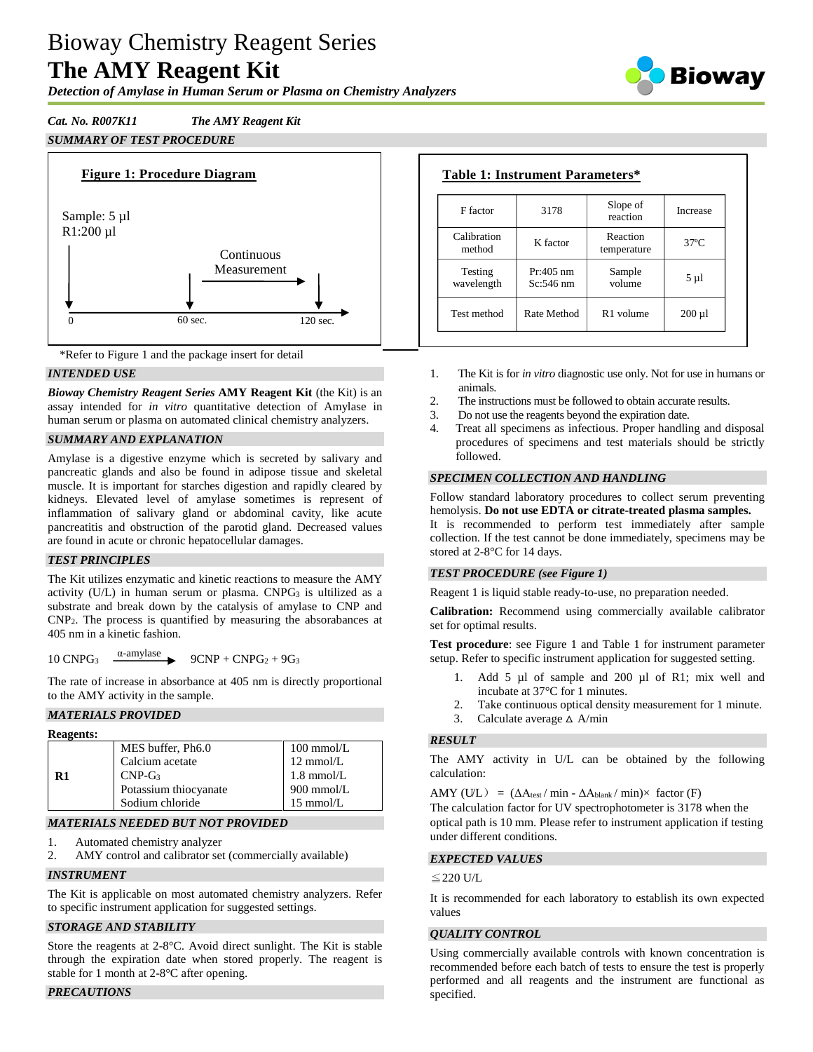# Bioway Chemistry Reagent Series **The AMY Reagent Kit**

*Detection of Amylase in Human Serum or Plasma on Chemistry Analyzers*

# *Cat. No. R007K11 The AMY Reagent Kit SUMMARY OF TEST PROCEDURE*





# *INTENDED USE*

*Bioway Chemistry Reagent Series* **AMY Reagent Kit** (the Kit) is an assay intended for *in vitro* quantitative detection of Amylase in human serum or plasma on automated clinical chemistry analyzers.

# *SUMMARY AND EXPLANATION*

Amylase is a digestive enzyme which is secreted by salivary and pancreatic glands and also be found in adipose tissue and skeletal muscle. It is important for starches digestion and rapidly cleared by kidneys. Elevated level of amylase sometimes is represent of inflammation of salivary gland or abdominal cavity, like acute pancreatitis and obstruction of the parotid gland. Decreased values are found in acute or chronic hepatocellular damages.

## *TEST PRINCIPLES*

The Kit utilizes enzymatic and kinetic reactions to measure the AMY activity  $(U/L)$  in human serum or plasma. CNPG<sub>3</sub> is ultilized as a substrate and break down by the catalysis of amylase to CNP and CNP2. The process is quantified by measuring the absorabances at 405 nm in a kinetic fashion.

10 CNPG<sup>3</sup> α-amylase  $9CNP + CNPG<sub>2</sub> + 9G<sub>3</sub>$ 

The rate of increase in absorbance at 405 nm is directly proportional to the AMY activity in the sample.

## *MATERIALS PROVIDED*

| <b>Reagents:</b> |                       |                     |
|------------------|-----------------------|---------------------|
|                  | MES buffer, Ph6.0     | $100$ mmol/L        |
|                  | Calcium acetate       | $12 \text{ mmol/L}$ |
| R1               | $CNP-G3$              | $1.8$ mmol/L        |
|                  | Potassium thiocyanate | $900$ mmol/L        |
|                  | Sodium chloride       | $15 \text{ mmol/L}$ |

## *MATERIALS NEEDED BUT NOT PROVIDED*

1. Automated chemistry analyzer

2. AMY control and calibrator set (commercially available)

## *INSTRUMENT*

The Kit is applicable on most automated chemistry analyzers. Refer to specific instrument application for suggested settings.

#### *STORAGE AND STABILITY*

Store the reagents at 2-8°C. Avoid direct sunlight. The Kit is stable through the expiration date when stored properly. The reagent is stable for 1 month at 2-8°C after opening.

## *PRECAUTIONS*

| F factor              | 3178                       | Slope of<br>reaction    | Increase     |
|-----------------------|----------------------------|-------------------------|--------------|
| Calibration<br>method | K factor                   | Reaction<br>temperature | $37^\circ$ C |
| Testing<br>wavelength | $Pr:405$ nm<br>$Sc:546$ nm | Sample<br>volume        | 5 µ l        |
| Test method           | Rate Method                | R <sub>1</sub> volume   | $200 \mu l$  |

- 1. The Kit is for *in vitro* diagnostic use only. Not for use in humans or animals.
- 2. The instructions must be followed to obtain accurate results.
- 3. Do not use the reagents beyond the expiration date.
- Treat all specimens as infectious. Proper handling and disposal procedures of specimens and test materials should be strictly followed.

## *SPECIMEN COLLECTION AND HANDLING*

Follow standard laboratory procedures to collect serum preventing hemolysis. **Do not use EDTA or citrate-treated plasma samples.**

It is recommended to perform test immediately after sample collection. If the test cannot be done immediately, specimens may be stored at 2-8°C for 14 days.

## *TEST PROCEDURE (see Figure 1)*

Reagent 1 is liquid stable ready-to-use, no preparation needed.

**Calibration:** Recommend using commercially available calibrator set for optimal results.

**Test procedure**: see Figure 1 and Table 1 for instrument parameter setup. Refer to specific instrument application for suggested setting.

- 1. Add 5 µl of sample and 200 µl of R1; mix well and incubate at 37°C for 1 minutes.
- Take continuous optical density measurement for 1 minute.
- 3. Calculate average  $\triangle$  A/min

#### *RESULT*

The AMY activity in U/L can be obtained by the following calculation:

AMY (U/L) =  $(\Delta A_{\text{test}} / \min - \Delta A_{\text{blank}} / \min) \times$  factor (F)

The calculation factor for UV spectrophotometer is 3178 when the optical path is 10 mm. Please refer to instrument application if testing under different conditions.

#### *EXPECTED VALUES*

#### ≦220 U/L

It is recommended for each laboratory to establish its own expected values

#### *QUALITY CONTROL*

Using commercially available controls with known concentration is recommended before each batch of tests to ensure the test is properly performed and all reagents and the instrument are functional as specified.